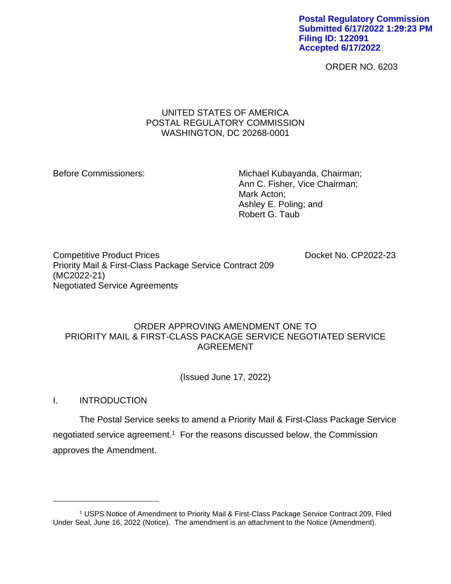**Postal Regulatory Commission Submitted 6/17/2022 1:29:23 PM Filing ID: 122091 Accepted 6/17/2022**

ORDER NO. 6203

# UNITED STATES OF AMERICA POSTAL REGULATORY COMMISSION WASHINGTON, DC 20268-0001

Before Commissioners: Michael Kubayanda, Chairman; Ann C. Fisher, Vice Chairman; Mark Acton; Ashley E. Poling; and Robert G. Taub

Competitive Product Prices **Docket No. CP2022-23** Priority Mail & First-Class Package Service Contract 209 (MC2022-21) Negotiated Service Agreements

### ORDER APPROVING AMENDMENT ONE TO PRIORITY MAIL & FIRST-CLASS PACKAGE SERVICE NEGOTIATED SERVICE AGREEMENT

(Issued June 17, 2022)

I. INTRODUCTION

The Postal Service seeks to amend a Priority Mail & First-Class Package Service negotiated service agreement.<sup>1</sup> For the reasons discussed below, the Commission approves the Amendment.

<sup>1</sup> USPS Notice of Amendment to Priority Mail & First-Class Package Service Contract 209, Filed Under Seal, June 16, 2022 (Notice). The amendment is an attachment to the Notice (Amendment).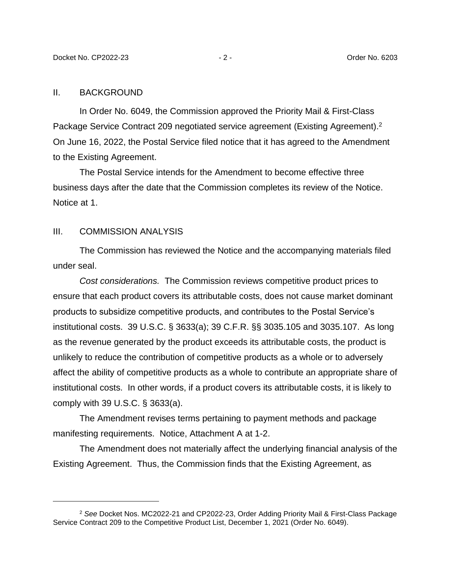#### II. BACKGROUND

In Order No. 6049, the Commission approved the Priority Mail & First-Class Package Service Contract 209 negotiated service agreement (Existing Agreement).<sup>2</sup> On June 16, 2022, the Postal Service filed notice that it has agreed to the Amendment to the Existing Agreement.

The Postal Service intends for the Amendment to become effective three business days after the date that the Commission completes its review of the Notice. Notice at 1.

### III. COMMISSION ANALYSIS

The Commission has reviewed the Notice and the accompanying materials filed under seal.

*Cost considerations.* The Commission reviews competitive product prices to ensure that each product covers its attributable costs, does not cause market dominant products to subsidize competitive products, and contributes to the Postal Service's institutional costs. 39 U.S.C. § 3633(a); 39 C.F.R. §§ 3035.105 and 3035.107. As long as the revenue generated by the product exceeds its attributable costs, the product is unlikely to reduce the contribution of competitive products as a whole or to adversely affect the ability of competitive products as a whole to contribute an appropriate share of institutional costs. In other words, if a product covers its attributable costs, it is likely to comply with 39 U.S.C. § 3633(a).

The Amendment revises terms pertaining to payment methods and package manifesting requirements. Notice, Attachment A at 1-2.

The Amendment does not materially affect the underlying financial analysis of the Existing Agreement. Thus, the Commission finds that the Existing Agreement, as

<sup>2</sup> *See* Docket Nos. MC2022-21 and CP2022-23, Order Adding Priority Mail & First-Class Package Service Contract 209 to the Competitive Product List, December 1, 2021 (Order No. 6049).